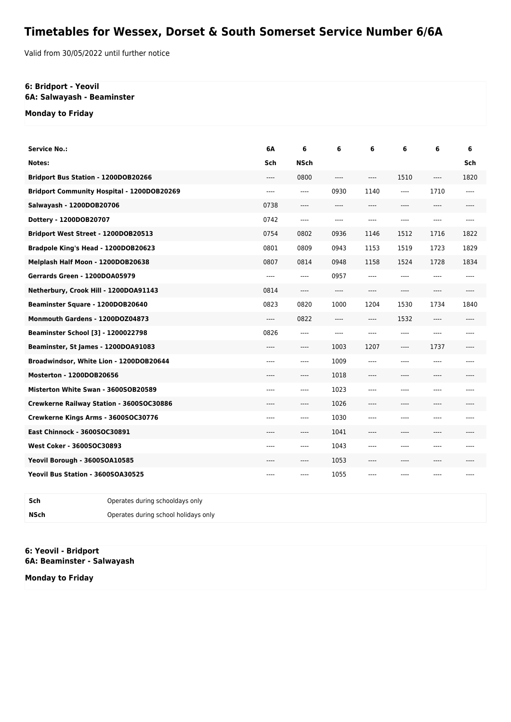## **Timetables for Wessex, Dorset & South Somerset Service Number 6/6A**

Valid from 30/05/2022 until further notice

## **6: Bridport - Yeovil 6A: Salwayash - Beaminster**

**Monday to Friday**

| <b>Service No.:</b>                               |                                 | 6А    | 6           | 6       | 6    | 6     | 6     | 6     |
|---------------------------------------------------|---------------------------------|-------|-------------|---------|------|-------|-------|-------|
| Notes:                                            |                                 | Sch   | <b>NSch</b> |         |      |       |       | Sch   |
| Bridport Bus Station - 1200DOB20266               |                                 | $---$ | 0800        | $---$   | ---- | 1510  | ----  | 1820  |
| <b>Bridport Community Hospital - 1200DOB20269</b> |                                 | ----  | ----        | 0930    | 1140 | ----  | 1710  | $---$ |
| Salwayash - 1200DOB20706                          |                                 | 0738  | ----        | ----    | ---- | ----  | ----  |       |
| Dottery - 1200DOB20707                            |                                 | 0742  | ----        | $---$   | ---- | $---$ | $---$ | $---$ |
| Bridport West Street - 1200DOB20513               |                                 | 0754  | 0802        | 0936    | 1146 | 1512  | 1716  | 1822  |
| Bradpole King's Head - 1200DOB20623               |                                 | 0801  | 0809        | 0943    | 1153 | 1519  | 1723  | 1829  |
| Melplash Half Moon - 1200DOB20638                 |                                 | 0807  | 0814        | 0948    | 1158 | 1524  | 1728  | 1834  |
| Gerrards Green - 1200DOA05979                     |                                 | $---$ | $---$       | 0957    | ---- | $---$ | $---$ | $---$ |
| Netherbury, Crook Hill - 1200DOA91143             |                                 | 0814  | ----        | $-----$ | ---- | ----  | ----  |       |
| Beaminster Square - 1200DOB20640                  |                                 | 0823  | 0820        | 1000    | 1204 | 1530  | 1734  | 1840  |
| Monmouth Gardens - 1200DOZ04873                   |                                 | $---$ | 0822        | ----    | ---- | 1532  | ----  |       |
| Beaminster School [3] - 1200022798                |                                 | 0826  | ----        | $---$   | ---- | ----  | ----  | $---$ |
| Beaminster, St James - 1200DOA91083               |                                 | $---$ | ----        | 1003    | 1207 | ----  | 1737  | $---$ |
| Broadwindsor, White Lion - 1200DOB20644           |                                 | ----  | ----        | 1009    | ---- | ----  | ----  | $---$ |
| Mosterton - 1200DOB20656                          |                                 | ----  | ----        | 1018    | ---- | ----  | ----  |       |
| Misterton White Swan - 3600SOB20589               |                                 | ----  | ----        | 1023    | ---- | $---$ | $---$ | $---$ |
| Crewkerne Railway Station - 3600SOC30886          |                                 | ----  | ----        | 1026    | ---- | ----  | ----  |       |
| Crewkerne Kings Arms - 3600SOC30776               |                                 | ----  | $---$       | 1030    | ---- | $---$ | $---$ | $---$ |
| East Chinnock - 3600SOC30891                      |                                 | ----  | ----        | 1041    | ---- | ----  | $---$ |       |
| West Coker - 3600SOC30893                         |                                 | ----  | ----        | 1043    | ---- | $---$ | $---$ | $---$ |
| Yeovil Borough - 3600SOA10585                     |                                 | ----  | ----        | 1053    | ---- | ----  | $---$ |       |
| Yeovil Bus Station - 3600SOA30525                 |                                 | ----  | ----        | 1055    | ---- | $---$ | $---$ | $---$ |
| Sch                                               | Operates during schooldays only |       |             |         |      |       |       |       |

**6: Yeovil - Bridport**

**NSch** Operates during school holidays only

**6A: Beaminster - Salwayash**

**Monday to Friday**